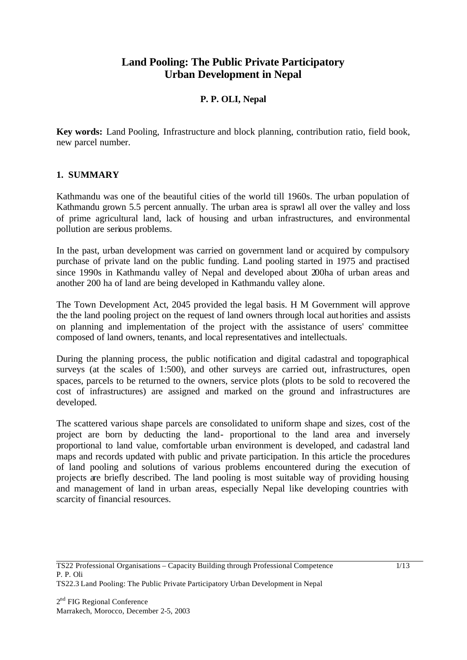# **Land Pooling: The Public Private Participatory Urban Development in Nepal**

# **P. P. OLI, Nepal**

**Key words:** Land Pooling, Infrastructure and block planning, contribution ratio, field book, new parcel number.

### **1. SUMMARY**

Kathmandu was one of the beautiful cities of the world till 1960s. The urban population of Kathmandu grown 5.5 percent annually. The urban area is sprawl all over the valley and loss of prime agricultural land, lack of housing and urban infrastructures, and environmental pollution are serious problems.

In the past, urban development was carried on government land or acquired by compulsory purchase of private land on the public funding. Land pooling started in 1975 and practised since 1990s in Kathmandu valley of Nepal and developed about 200ha of urban areas and another 200 ha of land are being developed in Kathmandu valley alone.

The Town Development Act, 2045 provided the legal basis. H M Government will approve the the land pooling project on the request of land owners through local authorities and assists on planning and implementation of the project with the assistance of users' committee composed of land owners, tenants, and local representatives and intellectuals.

During the planning process, the public notification and digital cadastral and topographical surveys (at the scales of 1:500), and other surveys are carried out, infrastructures, open spaces, parcels to be returned to the owners, service plots (plots to be sold to recovered the cost of infrastructures) are assigned and marked on the ground and infrastructures are developed.

The scattered various shape parcels are consolidated to uniform shape and sizes, cost of the project are born by deducting the land- proportional to the land area and inversely proportional to land value, comfortable urban environment is developed, and cadastral land maps and records updated with public and private participation. In this article the procedures of land pooling and solutions of various problems encountered during the execution of projects are briefly described. The land pooling is most suitable way of providing housing and management of land in urban areas, especially Nepal like developing countries with scarcity of financial resources.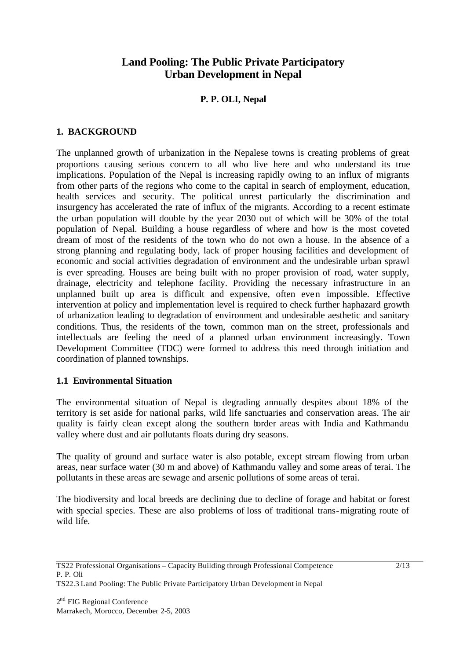# **Land Pooling: The Public Private Participatory Urban Development in Nepal**

# **P. P. OLI, Nepal**

### **1. BACKGROUND**

The unplanned growth of urbanization in the Nepalese towns is creating problems of great proportions causing serious concern to all who live here and who understand its true implications. Population of the Nepal is increasing rapidly owing to an influx of migrants from other parts of the regions who come to the capital in search of employment, education, health services and security. The political unrest particularly the discrimination and insurgency has accelerated the rate of influx of the migrants. According to a recent estimate the urban population will double by the year 2030 out of which will be 30% of the total population of Nepal. Building a house regardless of where and how is the most coveted dream of most of the residents of the town who do not own a house. In the absence of a strong planning and regulating body, lack of proper housing facilities and development of economic and social activities degradation of environment and the undesirable urban sprawl is ever spreading. Houses are being built with no proper provision of road, water supply, drainage, electricity and telephone facility. Providing the necessary infrastructure in an unplanned built up area is difficult and expensive, often even impossible. Effective intervention at policy and implementation level is required to check further haphazard growth of urbanization leading to degradation of environment and undesirable aesthetic and sanitary conditions. Thus, the residents of the town, common man on the street, professionals and intellectuals are feeling the need of a planned urban environment increasingly. Town Development Committee (TDC) were formed to address this need through initiation and coordination of planned townships.

#### **1.1 Environmental Situation**

The environmental situation of Nepal is degrading annually despites about 18% of the territory is set aside for national parks, wild life sanctuaries and conservation areas. The air quality is fairly clean except along the southern border areas with India and Kathmandu valley where dust and air pollutants floats during dry seasons.

The quality of ground and surface water is also potable, except stream flowing from urban areas, near surface water (30 m and above) of Kathmandu valley and some areas of terai. The pollutants in these areas are sewage and arsenic pollutions of some areas of terai.

The biodiversity and local breeds are declining due to decline of forage and habitat or forest with special species. These are also problems of loss of traditional trans-migrating route of wild life.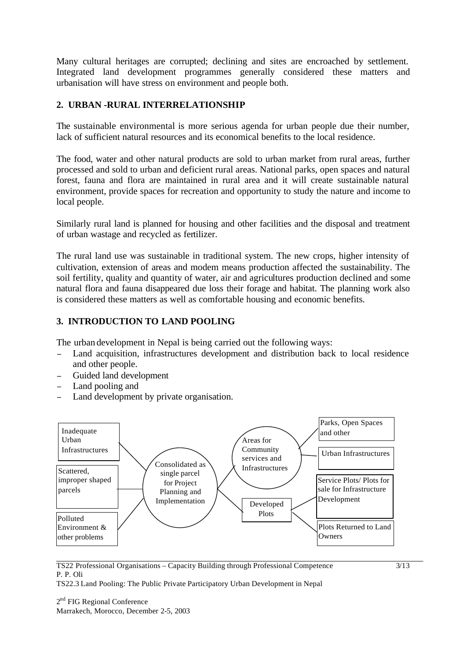Many cultural heritages are corrupted; declining and sites are encroached by settlement. Integrated land development programmes generally considered these matters and urbanisation will have stress on environment and people both.

# **2. URBAN -RURAL INTERRELATIONSHIP**

The sustainable environmental is more serious agenda for urban people due their number, lack of sufficient natural resources and its economical benefits to the local residence.

The food, water and other natural products are sold to urban market from rural areas, further processed and sold to urban and deficient rural areas. National parks, open spaces and natural forest, fauna and flora are maintained in rural area and it will create sustainable natural environment, provide spaces for recreation and opportunity to study the nature and income to local people.

Similarly rural land is planned for housing and other facilities and the disposal and treatment of urban wastage and recycled as fertilizer.

The rural land use was sustainable in traditional system. The new crops, higher intensity of cultivation, extension of areas and modem means production affected the sustainability. The soil fertility, quality and quantity of water, air and agricultures production declined and some natural flora and fauna disappeared due loss their forage and habitat. The planning work also is considered these matters as well as comfortable housing and economic benefits.

# **3. INTRODUCTION TO LAND POOLING**

The urban development in Nepal is being carried out the following ways:

- <sup>−</sup> Land acquisition, infrastructures development and distribution back to local residence and other people.
- <sup>−</sup> Guided land development
- Land pooling and
- Land development by private organisation.



#### TS22 Professional Organisations – Capacity Building through Professional Competence P. P. Oli

TS22.3 Land Pooling: The Public Private Participatory Urban Development in Nepal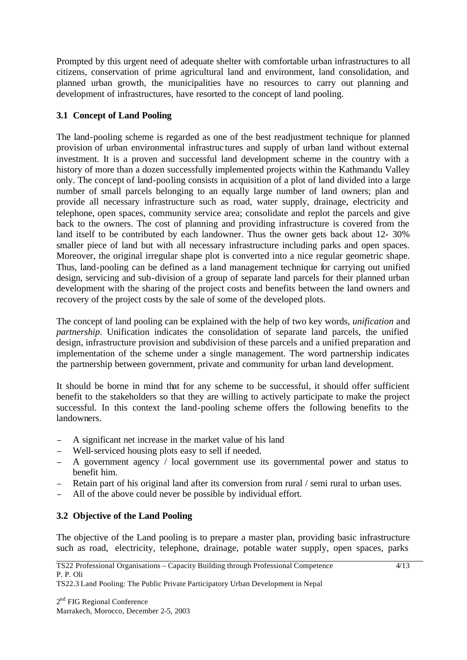Prompted by this urgent need of adequate shelter with comfortable urban infrastructures to all citizens, conservation of prime agricultural land and environment, land consolidation, and planned urban growth, the municipalities have no resources to carry out planning and development of infrastructures, have resorted to the concept of land pooling.

# **3.1 Concept of Land Pooling**

The land-pooling scheme is regarded as one of the best readjustment technique for planned provision of urban environmental infrastruc tures and supply of urban land without external investment. It is a proven and successful land development scheme in the country with a history of more than a dozen successfully implemented projects within the Kathmandu Valley only. The concept of land-pooling consists in acquisition of a plot of land divided into a large number of small parcels belonging to an equally large number of land owners; plan and provide all necessary infrastructure such as road, water supply, drainage, electricity and telephone, open spaces, community service area; consolidate and replot the parcels and give back to the owners. The cost of planning and providing infrastructure is covered from the land itself to be contributed by each landowner. Thus the owner gets back about 12- 30% smaller piece of land but with all necessary infrastructure including parks and open spaces. Moreover, the original irregular shape plot is converted into a nice regular geometric shape. Thus, land-pooling can be defined as a land management technique for carrying out unified design, servicing and sub-division of a group of separate land parcels for their planned urban development with the sharing of the project costs and benefits between the land owners and recovery of the project costs by the sale of some of the developed plots.

The concept of land pooling can be explained with the help of two key words, *unification* and *partnership*. Unification indicates the consolidation of separate land parcels, the unified design, infrastructure provision and subdivision of these parcels and a unified preparation and implementation of the scheme under a single management. The word partnership indicates the partnership between government, private and community for urban land development.

It should be borne in mind that for any scheme to be successful, it should offer sufficient benefit to the stakeholders so that they are willing to actively participate to make the project successful. In this context the land-pooling scheme offers the following benefits to the landowners.

- A significant net increase in the market value of his land
- <sup>−</sup> Well-serviced housing plots easy to sell if needed.
- <sup>−</sup> A government agency / local government use its governmental power and status to benefit him.
- Retain part of his original land after its conversion from rural / semi rural to urban uses.
- All of the above could never be possible by individual effort.

### **3.2 Objective of the Land Pooling**

The objective of the Land pooling is to prepare a master plan, providing basic infrastructure such as road, electricity, telephone, drainage, potable water supply, open spaces, parks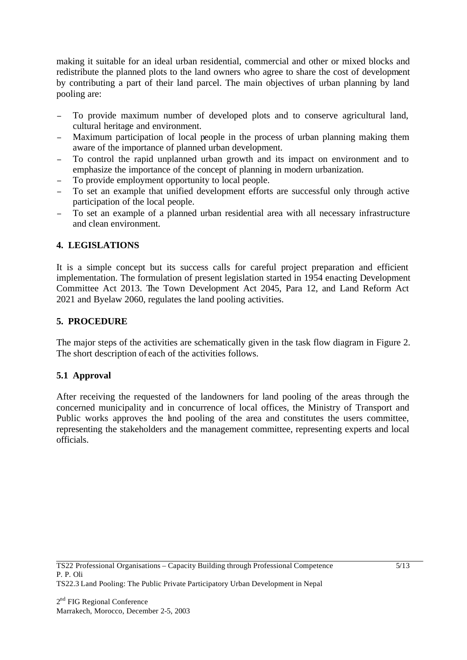making it suitable for an ideal urban residential, commercial and other or mixed blocks and redistribute the planned plots to the land owners who agree to share the cost of development by contributing a part of their land parcel. The main objectives of urban planning by land pooling are:

- To provide maximum number of developed plots and to conserve agricultural land, cultural heritage and environment.
- <sup>−</sup> Maximum participation of local people in the process of urban planning making them aware of the importance of planned urban development.
- <sup>−</sup> To control the rapid unplanned urban growth and its impact on environment and to emphasize the importance of the concept of planning in modern urbanization.
- To provide employment opportunity to local people.
- To set an example that unified development efforts are successful only through active participation of the local people.
- To set an example of a planned urban residential area with all necessary infrastructure and clean environment.

# **4. LEGISLATIONS**

It is a simple concept but its success calls for careful project preparation and efficient implementation. The formulation of present legislation started in 1954 enacting Development Committee Act 2013. The Town Development Act 2045, Para 12, and Land Reform Act 2021 and Byelaw 2060, regulates the land pooling activities.

# **5. PROCEDURE**

The major steps of the activities are schematically given in the task flow diagram in Figure 2. The short description of each of the activities follows.

### **5.1 Approval**

After receiving the requested of the landowners for land pooling of the areas through the concerned municipality and in concurrence of local offices, the Ministry of Transport and Public works approves the land pooling of the area and constitutes the users committee, representing the stakeholders and the management committee, representing experts and local officials.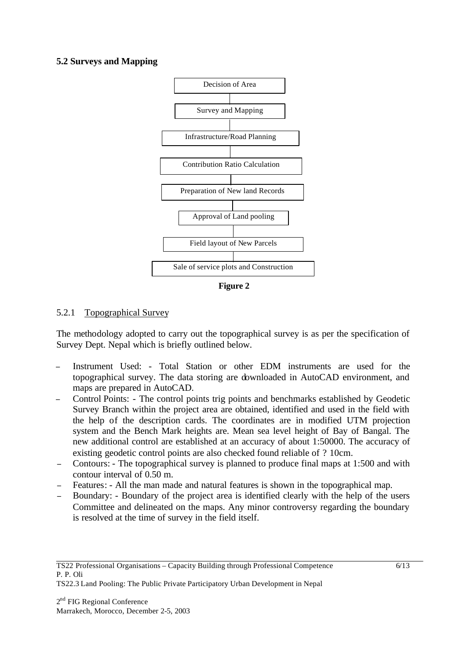### **5.2 Surveys and Mapping**



**Figure 2** 

### 5.2.1 Topographical Survey

The methodology adopted to carry out the topographical survey is as per the specification of Survey Dept. Nepal which is briefly outlined below.

- Instrument Used: Total Station or other EDM instruments are used for the topographical survey. The data storing are downloaded in AutoCAD environment, and maps are prepared in AutoCAD.
- <sup>−</sup> Control Points: The control points trig points and benchmarks established by Geodetic Survey Branch within the project area are obtained, identified and used in the field with the help of the description cards. The coordinates are in modified UTM projection system and the Bench Mark heights are. Mean sea level height of Bay of Bangal. The new additional control are established at an accuracy of about 1:50000. The accuracy of existing geodetic control points are also checked found reliable of ? 10cm.
- <sup>−</sup> Contours: The topographical survey is planned to produce final maps at 1:500 and with contour interval of 0.50 m.
- Features: All the man made and natural features is shown in the topographical map.
- Boundary: Boundary of the project area is identified clearly with the help of the users Committee and delineated on the maps. Any minor controversy regarding the boundary is resolved at the time of survey in the field itself.

TS22.3 Land Pooling: The Public Private Participatory Urban Development in Nepal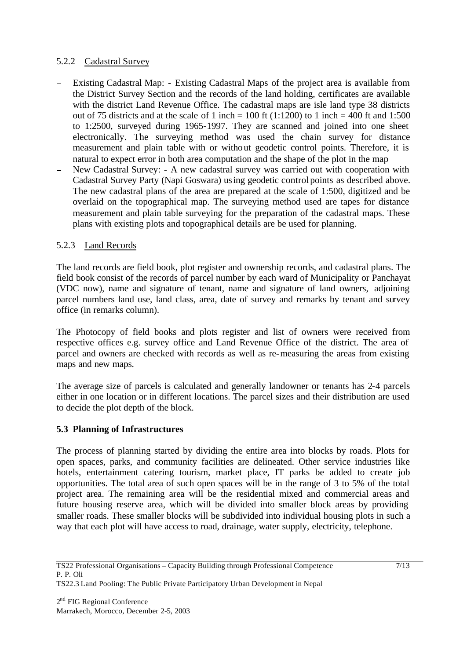### 5.2.2 Cadastral Survey

- Existing Cadastral Map: Existing Cadastral Maps of the project area is available from the District Survey Section and the records of the land holding, certificates are available with the district Land Revenue Office. The cadastral maps are isle land type 38 districts out of 75 districts and at the scale of 1 inch = 100 ft (1:1200) to 1 inch = 400 ft and 1:500 to 1:2500, surveyed during 1965-1997. They are scanned and joined into one sheet electronically. The surveying method was used the chain survey for distance measurement and plain table with or without geodetic control points. Therefore, it is natural to expect error in both area computation and the shape of the plot in the map
- New Cadastral Survey: A new cadastral survey was carried out with cooperation with Cadastral Survey Party (Napi Goswara) using geodetic control points as described above. The new cadastral plans of the area are prepared at the scale of 1:500, digitized and be overlaid on the topographical map. The surveying method used are tapes for distance measurement and plain table surveying for the preparation of the cadastral maps. These plans with existing plots and topographical details are be used for planning.

### 5.2.3 Land Records

The land records are field book, plot register and ownership records, and cadastral plans. The field book consist of the records of parcel number by each ward of Municipality or Panchayat (VDC now), name and signature of tenant, name and signature of land owners, adjoining parcel numbers land use, land class, area, date of survey and remarks by tenant and survey office (in remarks column).

The Photocopy of field books and plots register and list of owners were received from respective offices e.g. survey office and Land Revenue Office of the district. The area of parcel and owners are checked with records as well as re-measuring the areas from existing maps and new maps.

The average size of parcels is calculated and generally landowner or tenants has 2-4 parcels either in one location or in different locations. The parcel sizes and their distribution are used to decide the plot depth of the block.

### **5.3 Planning of Infrastructures**

The process of planning started by dividing the entire area into blocks by roads. Plots for open spaces, parks, and community facilities are delineated. Other service industries like hotels, entertainment catering tourism, market place, IT parks be added to create job opportunities. The total area of such open spaces will be in the range of 3 to 5% of the total project area. The remaining area will be the residential mixed and commercial areas and future housing reserve area, which will be divided into smaller block areas by providing smaller roads. These smaller blocks will be subdivided into individual housing plots in such a way that each plot will have access to road, drainage, water supply, electricity, telephone.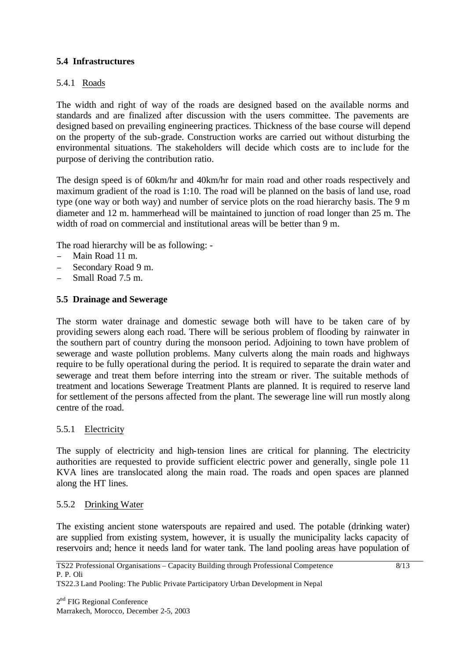### **5.4 Infrastructures**

### 5.4.1 Roads

The width and right of way of the roads are designed based on the available norms and standards and are finalized after discussion with the users committee. The pavements are designed based on prevailing engineering practices. Thickness of the base course will depend on the property of the sub-grade. Construction works are carried out without disturbing the environmental situations. The stakeholders will decide which costs are to inc lude for the purpose of deriving the contribution ratio.

The design speed is of 60km/hr and 40km/hr for main road and other roads respectively and maximum gradient of the road is 1:10. The road will be planned on the basis of land use, road type (one way or both way) and number of service plots on the road hierarchy basis. The 9 m diameter and 12 m. hammerhead will be maintained to junction of road longer than 25 m. The width of road on commercial and institutional areas will be better than 9 m.

The road hierarchy will be as following: -

- <sup>−</sup> Main Road 11 m.
- <sup>−</sup> Secondary Road 9 m.
- <sup>−</sup> Small Road 7.5 m.

### **5.5 Drainage and Sewerage**

The storm water drainage and domestic sewage both will have to be taken care of by providing sewers along each road. There will be serious problem of flooding by rainwater in the southern part of country during the monsoon period. Adjoining to town have problem of sewerage and waste pollution problems. Many culverts along the main roads and highways require to be fully operational during the period. It is required to separate the drain water and sewerage and treat them before interring into the stream or river. The suitable methods of treatment and locations Sewerage Treatment Plants are planned. It is required to reserve land for settlement of the persons affected from the plant. The sewerage line will run mostly along centre of the road.

#### 5.5.1 Electricity

The supply of electricity and high-tension lines are critical for planning. The electricity authorities are requested to provide sufficient electric power and generally, single pole 11 KVA lines are translocated along the main road. The roads and open spaces are planned along the HT lines.

#### 5.5.2 Drinking Water

The existing ancient stone waterspouts are repaired and used. The potable (drinking water) are supplied from existing system, however, it is usually the municipality lacks capacity of reservoirs and; hence it needs land for water tank. The land pooling areas have population of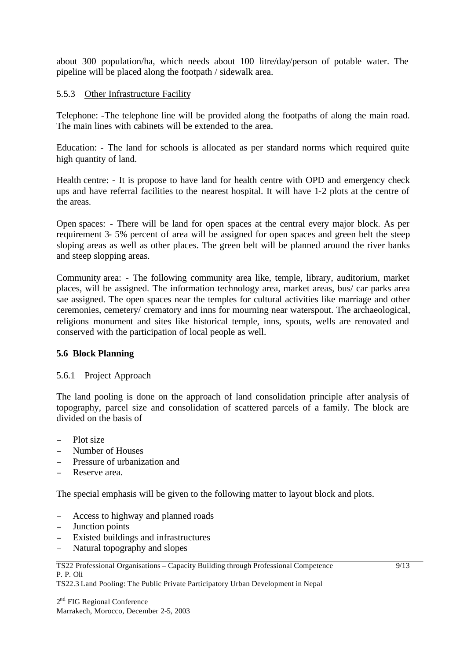about 300 population/ha, which needs about 100 litre/day/person of potable water. The pipeline will be placed along the footpath / sidewalk area.

# 5.5.3 Other Infrastructure Facility

Telephone: -The telephone line will be provided along the footpaths of along the main road. The main lines with cabinets will be extended to the area.

Education: - The land for schools is allocated as per standard norms which required quite high quantity of land.

Health centre: - It is propose to have land for health centre with OPD and emergency check ups and have referral facilities to the nearest hospital. It will have 1-2 plots at the centre of the areas.

Open spaces: - There will be land for open spaces at the central every major block. As per requirement 3- 5% percent of area will be assigned for open spaces and green belt the steep sloping areas as well as other places. The green belt will be planned around the river banks and steep slopping areas.

Community area: - The following community area like, temple, library, auditorium, market places, will be assigned. The information technology area, market areas, bus/ car parks area sae assigned. The open spaces near the temples for cultural activities like marriage and other ceremonies, cemetery/ crematory and inns for mourning near waterspout. The archaeological, religions monument and sites like historical temple, inns, spouts, wells are renovated and conserved with the participation of local people as well.

### **5.6 Block Planning**

#### 5.6.1 Project Approach

The land pooling is done on the approach of land consolidation principle after analysis of topography, parcel size and consolidation of scattered parcels of a family. The block are divided on the basis of

- Plot size
- Number of Houses
- Pressure of urbanization and
- Reserve area.

The special emphasis will be given to the following matter to layout block and plots.

- <sup>−</sup> Access to highway and planned roads
- Junction points
- <sup>−</sup> Existed buildings and infrastructures
- Natural topography and slopes

TS22 Professional Organisations – Capacity Building through Professional Competence P. P. Oli

TS22.3 Land Pooling: The Public Private Participatory Urban Development in Nepal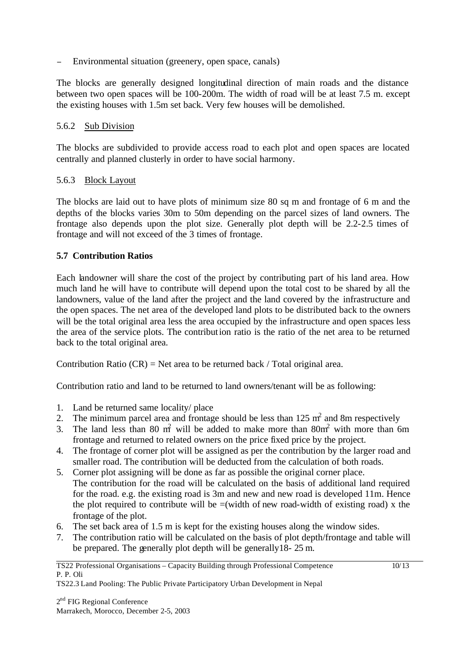Environmental situation (greenery, open space, canals)

The blocks are generally designed longitudinal direction of main roads and the distance between two open spaces will be 100-200m. The width of road will be at least 7.5 m. except the existing houses with 1.5m set back. Very few houses will be demolished.

### 5.6.2 Sub Division

The blocks are subdivided to provide access road to each plot and open spaces are located centrally and planned clusterly in order to have social harmony.

### 5.6.3 Block Layout

The blocks are laid out to have plots of minimum size 80 sq m and frontage of 6 m and the depths of the blocks varies 30m to 50m depending on the parcel sizes of land owners. The frontage also depends upon the plot size. Generally plot depth will be 2.2-2.5 times of frontage and will not exceed of the 3 times of frontage.

### **5.7 Contribution Ratios**

Each landowner will share the cost of the project by contributing part of his land area. How much land he will have to contribute will depend upon the total cost to be shared by all the landowners, value of the land after the project and the land covered by the infrastructure and the open spaces. The net area of the developed land plots to be distributed back to the owners will be the total original area less the area occupied by the infrastructure and open spaces less the area of the service plots. The contribution ratio is the ratio of the net area to be returned back to the total original area.

Contribution Ratio  $(CR)$  = Net area to be returned back / Total original area.

Contribution ratio and land to be returned to land owners/tenant will be as following:

- 1. Land be returned same locality/ place
- 2. The minimum parcel area and frontage should be less than  $125 \text{ m}^2$  and 8m respectively
- 3. The land less than 80  $m<sup>2</sup>$  will be added to make more than 80 $m<sup>2</sup>$  with more than 6m frontage and returned to related owners on the price fixed price by the project.
- 4. The frontage of corner plot will be assigned as per the contribution by the larger road and smaller road. The contribution will be deducted from the calculation of both roads.
- 5. Corner plot assigning will be done as far as possible the original corner place. The contribution for the road will be calculated on the basis of additional land required for the road. e.g. the existing road is 3m and new and new road is developed 11m. Hence the plot required to contribute will be  $=$ (width of new road-width of existing road) x the frontage of the plot.
- 6. The set back area of 1.5 m is kept for the existing houses along the window sides.
- 7. The contribution ratio will be calculated on the basis of plot depth/frontage and table will be prepared. The generally plot depth will be generally18- 25 m.

TS22.3 Land Pooling: The Public Private Participatory Urban Development in Nepal

TS22 Professional Organisations – Capacity Building through Professional Competence P. P. Oli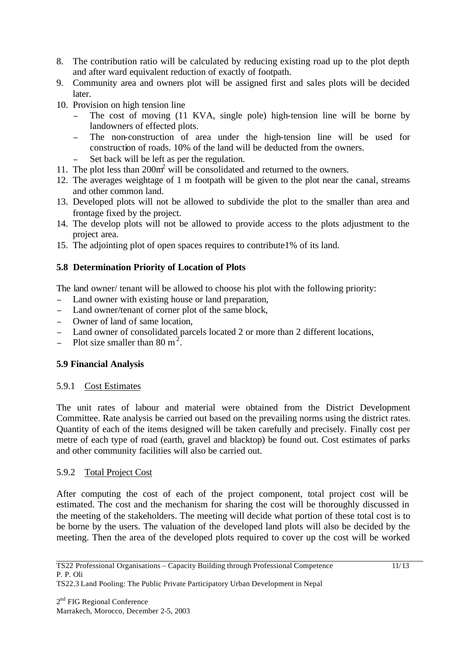- 8. The contribution ratio will be calculated by reducing existing road up to the plot depth and after ward equivalent reduction of exactly of footpath.
- 9. Community area and owners plot will be assigned first and sales plots will be decided later.
- 10. Provision on high tension line
	- <sup>−</sup> The cost of moving (11 KVA, single pole) high-tension line will be borne by landowners of effected plots.
	- <sup>−</sup> The non-construction of area under the high-tension line will be used for construction of roads. 10% of the land will be deducted from the owners.
	- Set back will be left as per the regulation.
- 11. The plot less than 200m<sup>2</sup> will be consolidated and returned to the owners.
- 12. The averages weightage of 1 m footpath will be given to the plot near the canal, streams and other common land.
- 13. Developed plots will not be allowed to subdivide the plot to the smaller than area and frontage fixed by the project.
- 14. The develop plots will not be allowed to provide access to the plots adjustment to the project area.
- 15. The adjointing plot of open spaces requires to contribute1% of its land.

# **5.8 Determination Priority of Location of Plots**

The land owner/ tenant will be allowed to choose his plot with the following priority:

- <sup>−</sup> Land owner with existing house or land preparation,
- <sup>−</sup> Land owner/tenant of corner plot of the same block,
- Owner of land of same location.
- Land owner of consolidated parcels located 2 or more than 2 different locations,
- $\frac{1}{2}$  Plot size smaller than 80 m<sup>2</sup>.

# **5.9 Financial Analysis**

# 5.9.1 Cost Estimates

The unit rates of labour and material were obtained from the District Development Committee. Rate analysis be carried out based on the prevailing norms using the district rates. Quantity of each of the items designed will be taken carefully and precisely. Finally cost per metre of each type of road (earth, gravel and blacktop) be found out. Cost estimates of parks and other community facilities will also be carried out.

# 5.9.2 Total Project Cost

After computing the cost of each of the project component, total project cost will be estimated. The cost and the mechanism for sharing the cost will be thoroughly discussed in the meeting of the stakeholders. The meeting will decide what portion of these total cost is to be borne by the users. The valuation of the developed land plots will also be decided by the meeting. Then the area of the developed plots required to cover up the cost will be worked

TS22.3 Land Pooling: The Public Private Participatory Urban Development in Nepal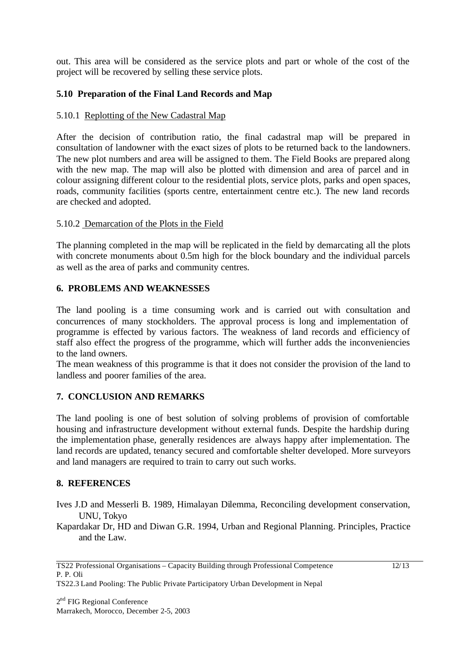out. This area will be considered as the service plots and part or whole of the cost of the project will be recovered by selling these service plots.

# **5.10 Preparation of the Final Land Records and Map**

### 5.10.1 Replotting of the New Cadastral Map

After the decision of contribution ratio, the final cadastral map will be prepared in consultation of landowner with the exact sizes of plots to be returned back to the landowners. The new plot numbers and area will be assigned to them. The Field Books are prepared along with the new map. The map will also be plotted with dimension and area of parcel and in colour assigning different colour to the residential plots, service plots, parks and open spaces, roads, community facilities (sports centre, entertainment centre etc.). The new land records are checked and adopted.

### 5.10.2 Demarcation of the Plots in the Field

The planning completed in the map will be replicated in the field by demarcating all the plots with concrete monuments about 0.5m high for the block boundary and the individual parcels as well as the area of parks and community centres.

### **6. PROBLEMS AND WEAKNESSES**

The land pooling is a time consuming work and is carried out with consultation and concurrences of many stockholders. The approval process is long and implementation of programme is effected by various factors. The weakness of land records and efficiency of staff also effect the progress of the programme, which will further adds the inconveniencies to the land owners.

The mean weakness of this programme is that it does not consider the provision of the land to landless and poorer families of the area.

### **7. CONCLUSION AND REMARKS**

The land pooling is one of best solution of solving problems of provision of comfortable housing and infrastructure development without external funds. Despite the hardship during the implementation phase, generally residences are always happy after implementation. The land records are updated, tenancy secured and comfortable shelter developed. More surveyors and land managers are required to train to carry out such works.

#### **8. REFERENCES**

- Ives J.D and Messerli B. 1989, Himalayan Dilemma, Reconciling development conservation, UNU, Tokyo
- Kapardakar Dr, HD and Diwan G.R. 1994, Urban and Regional Planning. Principles, Practice and the Law.